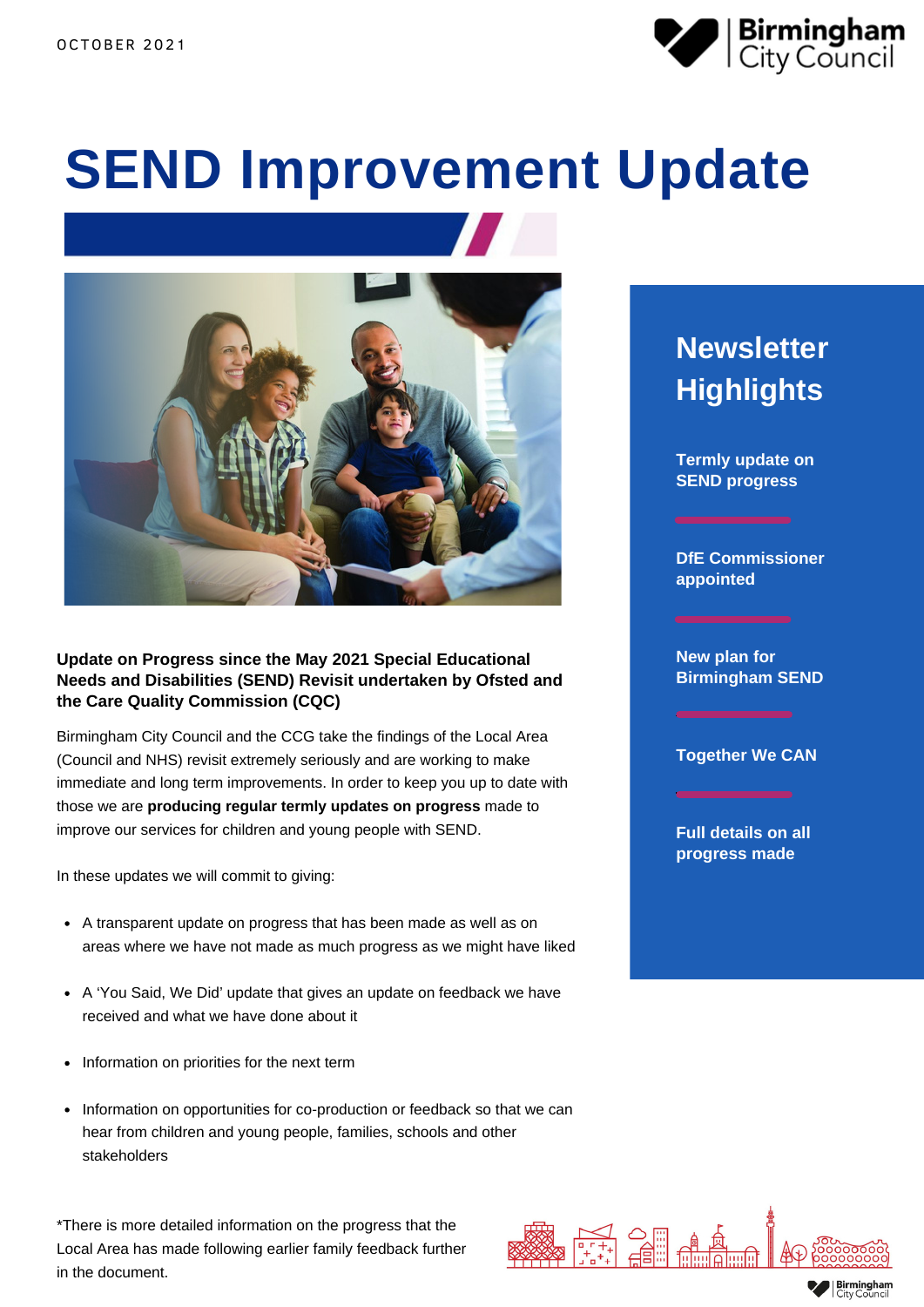

# **SEND Improvement Update**



### **Update on Progress since the May 2021 Special Educational Needs and Disabilities (SEND) Revisit undertaken by Ofsted and the Care Quality Commission (CQC)**

Birmingham City Council and the CCG take the findings of the Local Area (Council and NHS) revisit extremely seriously and are working to make immediate and long term improvements. In order to keep you up to date with those we are **producing regular termly updates on progress** made to improve our services for children and young people with SEND.

In these updates we will commit to giving:

- A transparent update on progress that has been made as well as on areas where we have not made as much progress as we might have liked
- A 'You Said, We Did' update that gives an update on feedback we have received and what we have done about it
- Information on priorities for the next term
- Information on opportunities for co-production or feedback so that we can hear from children and young people, families, schools and other stakeholders

\*There is more detailed information on the progress that the Local Area has made following earlier family feedback further in the document.



**Termly update on SEND progress**

**DfE Commissioner appointed**

**New plan for Birmingham SEND**

**Together We CAN**

**Full details on all progress made**

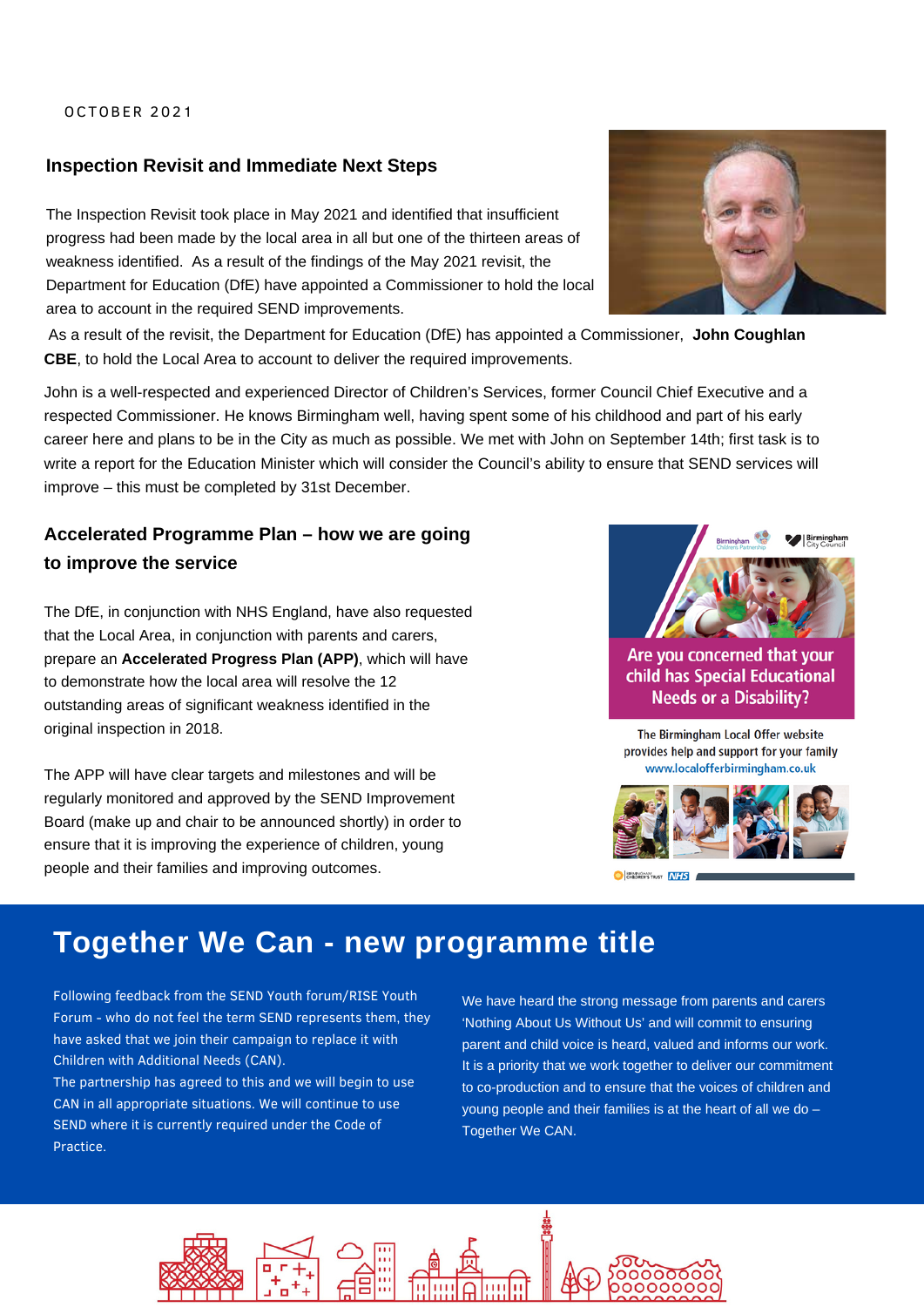#### OCTOBER 2021

### **Inspection Revisit and Immediate Next Steps**

The Inspection Revisit took place in May 2021 and identified that insufficient progress had been made by the local area in all but one of the thirteen areas of weakness identified. As a result of the findings of the May 2021 revisit, the Department for Education (DfE) have appointed a Commissioner to hold the local area to account in the required SEND improvements.

As a result of the revisit, the Department for Education (DfE) has appointed a Commissioner, **John Coughlan CBE**, to hold the Local Area to account to deliver the required improvements.

John is a well-respected and experienced Director of Children's Services, former Council Chief Executive and a respected Commissioner. He knows Birmingham well, having spent some of his childhood and part of his early career here and plans to be in the City as much as possible. We met with John on September 14th; first task is to write a report for the Education Minister which will consider the Council's ability to ensure that SEND services will improve – this must be completed by 31st December.

### **Accelerated Programme Plan – how we are going to improve the service**

The DfE, in conjunction with NHS England, have also requested that the Local Area, in conjunction with parents and carers, prepare an **Accelerated Progress Plan (APP)**, which will have to demonstrate how the local area will resolve the 12 outstanding areas of significant weakness identified in the original inspection in 2018.

The APP will have clear targets and milestones and will be regularly monitored and approved by the SEND Improvement Board (make up and chair to be announced shortly) in order to ensure that it is improving the experience of children, young people and their families and improving outcomes.





Are you concerned that your child has Special Educational **Needs or a Disability?** 

The Birmingham Local Offer website provides help and support for your family www.localofferbirmingham.co.uk



# **Together We Can - new programme title**

Following feedback from the SEND Youth forum/RISE Youth Forum - who do not feel the term SEND represents them, they have asked that we join their campaign to replace it with Children with Additional Needs (CAN).

The partnership has agreed to this and we will begin to use CAN in all appropriate situations. We will continue to use SEND where it is currently required under the Code of Practice.

We have heard the strong message from parents and carers 'Nothing About Us Without Us' and will commit to ensuring parent and child voice is heard, valued and informs our work. It is a priority that we work together to deliver our commitment to co-production and to ensure that the voices of children and young people and their families is at the heart of all we do – Together We CAN.

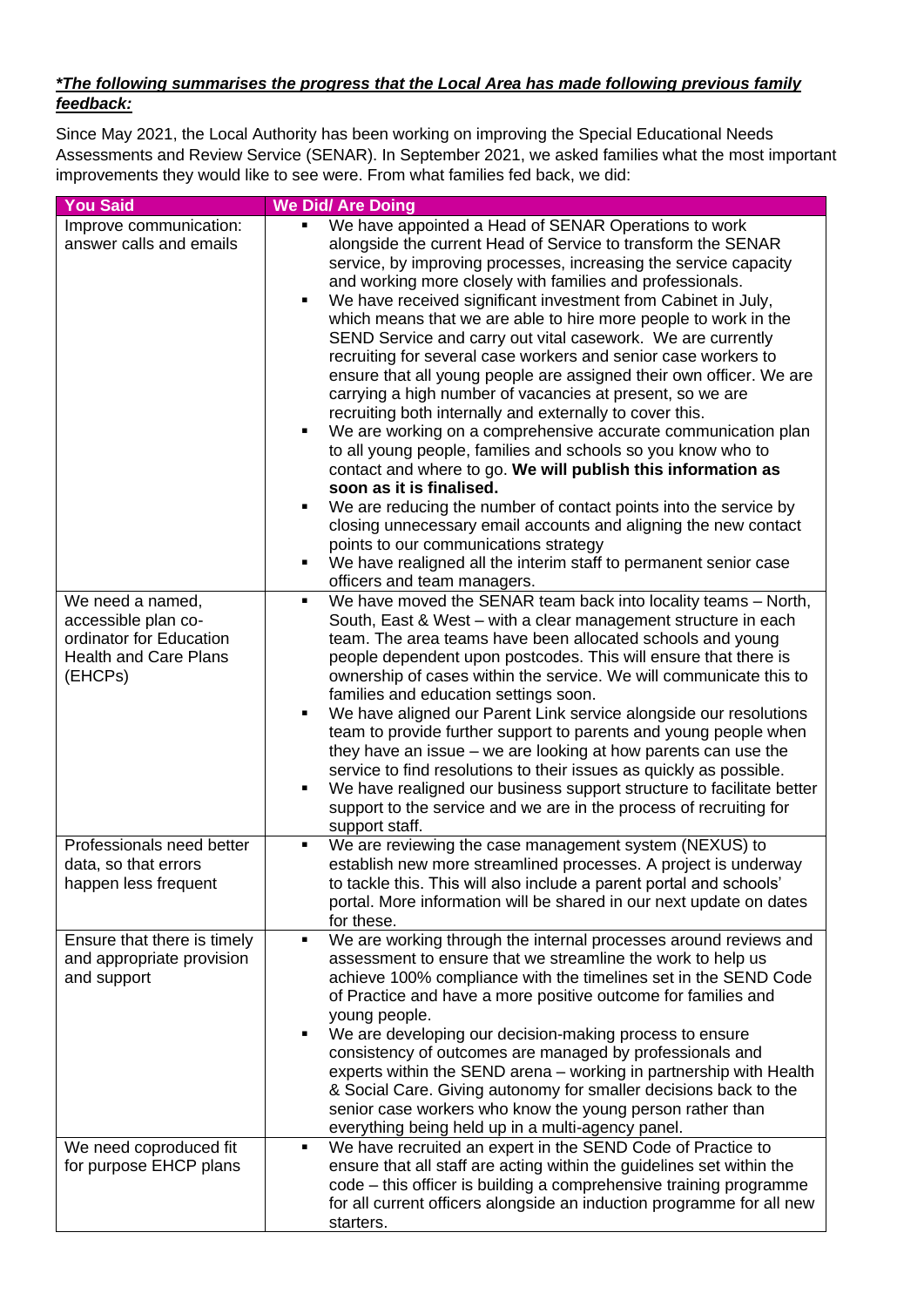### *\*The following summarises the progress that the Local Area has made following previous family feedback:*

Since May 2021, the Local Authority has been working on improving the Special Educational Needs Assessments and Review Service (SENAR). In September 2021, we asked families what the most important improvements they would like to see were. From what families fed back, we did:

| <b>You Said</b>                                                                                               | <b>We Did/ Are Doing</b>                                                                                                                                                                                                                                                                                                                                                                                                                                                                                                                                                                                                                                                                                                                                                                                                                                                                                                                                                                                                                                                                                                                                                                                                                                            |
|---------------------------------------------------------------------------------------------------------------|---------------------------------------------------------------------------------------------------------------------------------------------------------------------------------------------------------------------------------------------------------------------------------------------------------------------------------------------------------------------------------------------------------------------------------------------------------------------------------------------------------------------------------------------------------------------------------------------------------------------------------------------------------------------------------------------------------------------------------------------------------------------------------------------------------------------------------------------------------------------------------------------------------------------------------------------------------------------------------------------------------------------------------------------------------------------------------------------------------------------------------------------------------------------------------------------------------------------------------------------------------------------|
| Improve communication:<br>answer calls and emails                                                             | We have appointed a Head of SENAR Operations to work<br>٠<br>alongside the current Head of Service to transform the SENAR<br>service, by improving processes, increasing the service capacity<br>and working more closely with families and professionals.<br>We have received significant investment from Cabinet in July,<br>٠<br>which means that we are able to hire more people to work in the<br>SEND Service and carry out vital casework. We are currently<br>recruiting for several case workers and senior case workers to<br>ensure that all young people are assigned their own officer. We are<br>carrying a high number of vacancies at present, so we are<br>recruiting both internally and externally to cover this.<br>We are working on a comprehensive accurate communication plan<br>٠<br>to all young people, families and schools so you know who to<br>contact and where to go. We will publish this information as<br>soon as it is finalised.<br>We are reducing the number of contact points into the service by<br>٠<br>closing unnecessary email accounts and aligning the new contact<br>points to our communications strategy<br>We have realigned all the interim staff to permanent senior case<br>٠<br>officers and team managers. |
| We need a named,<br>accessible plan co-<br>ordinator for Education<br><b>Health and Care Plans</b><br>(EHCPs) | We have moved the SENAR team back into locality teams - North,<br>٠<br>South, East & West - with a clear management structure in each<br>team. The area teams have been allocated schools and young<br>people dependent upon postcodes. This will ensure that there is<br>ownership of cases within the service. We will communicate this to<br>families and education settings soon.<br>We have aligned our Parent Link service alongside our resolutions<br>team to provide further support to parents and young people when<br>they have an issue $-$ we are looking at how parents can use the<br>service to find resolutions to their issues as quickly as possible.<br>We have realigned our business support structure to facilitate better<br>٠<br>support to the service and we are in the process of recruiting for<br>support staff.                                                                                                                                                                                                                                                                                                                                                                                                                     |
| Professionals need better<br>data, so that errors<br>happen less frequent                                     | We are reviewing the case management system (NEXUS) to<br>٠<br>establish new more streamlined processes. A project is underway<br>to tackle this. This will also include a parent portal and schools'<br>portal. More information will be shared in our next update on dates<br>for these.                                                                                                                                                                                                                                                                                                                                                                                                                                                                                                                                                                                                                                                                                                                                                                                                                                                                                                                                                                          |
| Ensure that there is timely<br>and appropriate provision<br>and support<br>We need coproduced fit             | We are working through the internal processes around reviews and<br>٠<br>assessment to ensure that we streamline the work to help us<br>achieve 100% compliance with the timelines set in the SEND Code<br>of Practice and have a more positive outcome for families and<br>young people.<br>We are developing our decision-making process to ensure<br>٠<br>consistency of outcomes are managed by professionals and<br>experts within the SEND arena - working in partnership with Health<br>& Social Care. Giving autonomy for smaller decisions back to the<br>senior case workers who know the young person rather than<br>everything being held up in a multi-agency panel.<br>We have recruited an expert in the SEND Code of Practice to<br>٠                                                                                                                                                                                                                                                                                                                                                                                                                                                                                                               |
| for purpose EHCP plans                                                                                        | ensure that all staff are acting within the guidelines set within the<br>code - this officer is building a comprehensive training programme<br>for all current officers alongside an induction programme for all new<br>starters.                                                                                                                                                                                                                                                                                                                                                                                                                                                                                                                                                                                                                                                                                                                                                                                                                                                                                                                                                                                                                                   |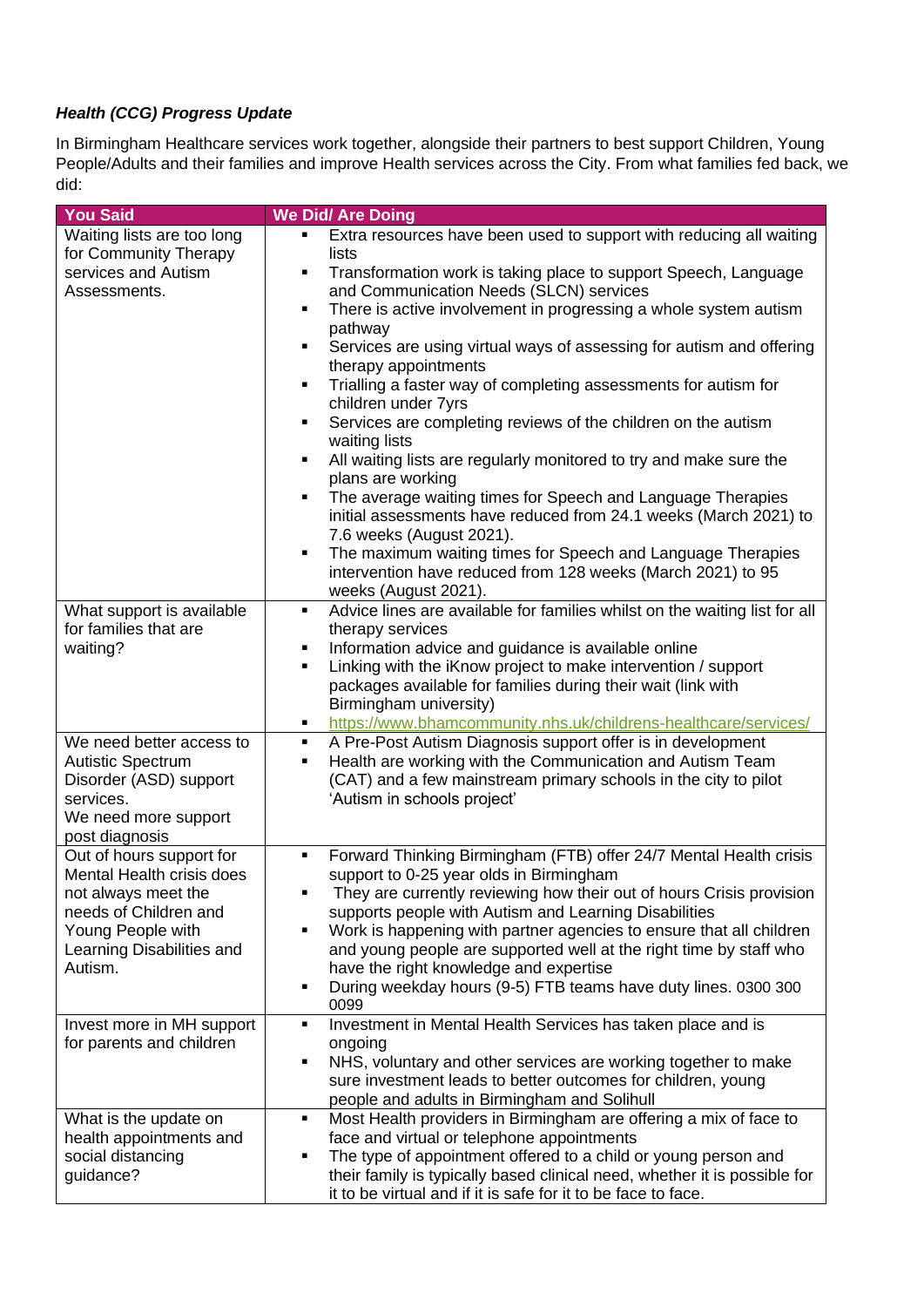## *Health (CCG) Progress Update*

In Birmingham Healthcare services work together, alongside their partners to best support Children, Young People/Adults and their families and improve Health services across the City. From what families fed back, we did:

| <b>You Said</b>                                                                                                                                                    | <b>We Did/ Are Doing</b>                                                                                                                                                                                                                                                                                                                                                                                                                                                                                                                                                                                                                                                                                                                                                                                                                                                                                                                                                              |
|--------------------------------------------------------------------------------------------------------------------------------------------------------------------|---------------------------------------------------------------------------------------------------------------------------------------------------------------------------------------------------------------------------------------------------------------------------------------------------------------------------------------------------------------------------------------------------------------------------------------------------------------------------------------------------------------------------------------------------------------------------------------------------------------------------------------------------------------------------------------------------------------------------------------------------------------------------------------------------------------------------------------------------------------------------------------------------------------------------------------------------------------------------------------|
| Waiting lists are too long<br>for Community Therapy<br>services and Autism<br>Assessments.                                                                         | Extra resources have been used to support with reducing all waiting<br>٠<br>lists<br>Transformation work is taking place to support Speech, Language<br>٠<br>and Communication Needs (SLCN) services<br>There is active involvement in progressing a whole system autism<br>٠<br>pathway<br>Services are using virtual ways of assessing for autism and offering<br>٠<br>therapy appointments<br>Trialling a faster way of completing assessments for autism for<br>٠<br>children under 7yrs<br>Services are completing reviews of the children on the autism<br>٠<br>waiting lists<br>All waiting lists are regularly monitored to try and make sure the<br>٠<br>plans are working<br>The average waiting times for Speech and Language Therapies<br>initial assessments have reduced from 24.1 weeks (March 2021) to<br>7.6 weeks (August 2021).<br>The maximum waiting times for Speech and Language Therapies<br>٠<br>intervention have reduced from 128 weeks (March 2021) to 95 |
| What support is available<br>for families that are<br>waiting?                                                                                                     | weeks (August 2021).<br>Advice lines are available for families whilst on the waiting list for all<br>٠<br>therapy services<br>Information advice and guidance is available online<br>٠<br>Linking with the iKnow project to make intervention / support<br>٠<br>packages available for families during their wait (link with<br>Birmingham university)<br>https://www.bhamcommunity.nhs.uk/childrens-healthcare/services/<br>٠                                                                                                                                                                                                                                                                                                                                                                                                                                                                                                                                                       |
| We need better access to<br><b>Autistic Spectrum</b><br>Disorder (ASD) support<br>services.<br>We need more support<br>post diagnosis                              | A Pre-Post Autism Diagnosis support offer is in development<br>$\blacksquare$<br>Health are working with the Communication and Autism Team<br>٠<br>(CAT) and a few mainstream primary schools in the city to pilot<br>'Autism in schools project'                                                                                                                                                                                                                                                                                                                                                                                                                                                                                                                                                                                                                                                                                                                                     |
| Out of hours support for<br>Mental Health crisis does<br>not always meet the<br>needs of Children and<br>Young People with<br>Learning Disabilities and<br>Autism. | Forward Thinking Birmingham (FTB) offer 24/7 Mental Health crisis<br>٠,<br>support to 0-25 year olds in Birmingham<br>They are currently reviewing how their out of hours Crisis provision<br>٠<br>supports people with Autism and Learning Disabilities<br>Work is happening with partner agencies to ensure that all children<br>and young people are supported well at the right time by staff who<br>have the right knowledge and expertise<br>During weekday hours (9-5) FTB teams have duty lines. 0300 300<br>0099                                                                                                                                                                                                                                                                                                                                                                                                                                                             |
| Invest more in MH support<br>for parents and children                                                                                                              | Investment in Mental Health Services has taken place and is<br>٠<br>ongoing<br>NHS, voluntary and other services are working together to make<br>sure investment leads to better outcomes for children, young<br>people and adults in Birmingham and Solihull                                                                                                                                                                                                                                                                                                                                                                                                                                                                                                                                                                                                                                                                                                                         |
| What is the update on<br>health appointments and<br>social distancing<br>guidance?                                                                                 | Most Health providers in Birmingham are offering a mix of face to<br>٠<br>face and virtual or telephone appointments<br>The type of appointment offered to a child or young person and<br>п<br>their family is typically based clinical need, whether it is possible for<br>it to be virtual and if it is safe for it to be face to face.                                                                                                                                                                                                                                                                                                                                                                                                                                                                                                                                                                                                                                             |